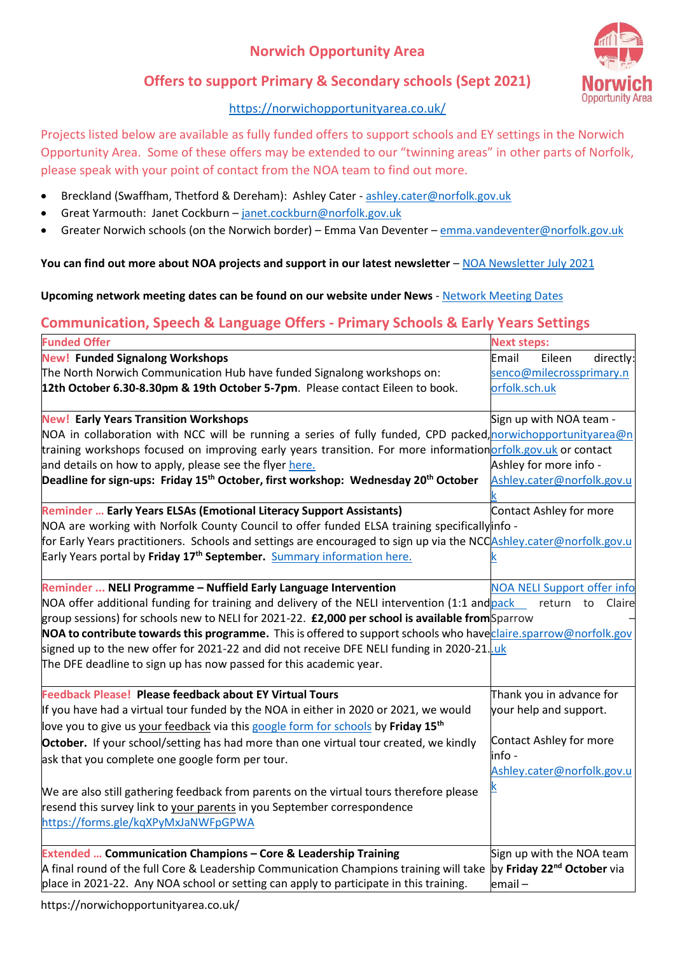# **Norwich Opportunity Area**

# **Offers to support Primary & Secondary schools (Sept 2021)**

# <https://norwichopportunityarea.co.uk/>

Projects listed below are available as fully funded offers to support schools and EY settings in the Norwich Opportunity Area. Some of these offers may be extended to our "twinning areas" in other parts of Norfolk, please speak with your point of contact from the NOA team to find out more.

- Breckland (Swaffham, Thetford & Dereham): Ashley Cater [ashley.cater@norfolk.gov.uk](mailto:ashley.cater@norfolk.gov.uk)
- Great Yarmouth: Janet Cockburn [janet.cockburn@norfolk.gov.uk](mailto:janet.cockburn@norfolk.gov.uk)
- Greater Norwich schools (on the Norwich border) Emma Van Deventer [emma.vandeventer@norfolk.gov.uk](mailto:emma.vandeventer@norfolk.gov.uk)

## You can find out more about NOA projects and support in our latest newsletter – [NOA Newsletter July 2021](https://norwichopportunityarea.files.wordpress.com/2021/07/noa-july-2021-end-of-year-newsletter.pdf)

## **Upcoming network meeting dates can be found on our website under News** - [Network Meeting Dates](https://norwichopportunityarea.co.uk/meeting-dates/)

# **Communication, Speech & Language Offers - Primary Schools & Early Years Settings**

| <b>Funded Offer</b>                                                                                                         | <b>Next steps:</b>                     |
|-----------------------------------------------------------------------------------------------------------------------------|----------------------------------------|
| <b>New! Funded Signalong Workshops</b>                                                                                      | Eileen<br>directly:<br>Email           |
| The North Norwich Communication Hub have funded Signalong workshops on:                                                     | senco@milecrossprimary.n               |
| 12th October 6.30-8.30pm & 19th October 5-7pm. Please contact Eileen to book.                                               | orfolk.sch.uk                          |
|                                                                                                                             |                                        |
| <b>New! Early Years Transition Workshops</b>                                                                                | Sign up with NOA team -                |
| NOA in collaboration with NCC will be running a series of fully funded, CPD packed, norwichopportunityarea@n                |                                        |
| training workshops focused on improving early years transition. For more information or folk.gov.uk or contact              |                                        |
| and details on how to apply, please see the flyer here.                                                                     | Ashley for more info -                 |
| Deadline for sign-ups: Friday 15 <sup>th</sup> October, first workshop: Wednesday 20 <sup>th</sup> October                  | Ashley.cater@norfolk.gov.u             |
|                                                                                                                             |                                        |
| <b>Reminder  Early Years ELSAs (Emotional Literacy Support Assistants)</b>                                                  | Contact Ashley for more                |
| NOA are working with Norfolk County Council to offer funded ELSA training specifically info -                               |                                        |
| for Early Years practitioners. Schools and settings are encouraged to sign up via the NCC <i>Ashley.cater@norfolk.gov.u</i> |                                        |
| Early Years portal by Friday 17 <sup>th</sup> September. Summary information here.                                          |                                        |
| Reminder  NELI Programme - Nuffield Early Language Intervention                                                             | NOA NELI Support offer info            |
| NOA offer additional funding for training and delivery of the NELI intervention (1:1 and pack                               | Claire<br>return to                    |
| group sessions) for schools new to NELI for 2021-22. <b>£2,000 per school is available from</b> Sparrow                     |                                        |
| NOA to contribute towards this programme. This is offered to support schools who haveclaire.sparrow@norfolk.gov             |                                        |
| signed up to the new offer for 2021-22 and did not receive DFE NELI funding in 2020-21. uk                                  |                                        |
| The DFE deadline to sign up has now passed for this academic year.                                                          |                                        |
|                                                                                                                             |                                        |
| <b>Feedback Please! Please feedback about EY Virtual Tours</b>                                                              | Thank you in advance for               |
| If you have had a virtual tour funded by the NOA in either in 2020 or 2021, we would                                        | your help and support.                 |
| love you to give us your feedback via this google form for schools by Friday 15 <sup>th</sup>                               |                                        |
| October. If your school/setting has had more than one virtual tour created, we kindly                                       | Contact Ashley for more                |
| ask that you complete one google form per tour.                                                                             | info -                                 |
|                                                                                                                             | Ashley.cater@norfolk.gov.u             |
| We are also still gathering feedback from parents on the virtual tours therefore please                                     |                                        |
| resend this survey link to your parents in you September correspondence                                                     |                                        |
| https://forms.gle/kqXPyMxJaNWFpGPWA                                                                                         |                                        |
|                                                                                                                             |                                        |
| Extended  Communication Champions - Core & Leadership Training                                                              | Sign up with the NOA team              |
| A final round of the full Core & Leadership Communication Champions training will take                                      | by Friday 22 <sup>nd</sup> October via |
| place in 2021-22. Any NOA school or setting can apply to participate in this training.                                      | email-                                 |

https://norwichopportunityarea.co.uk/

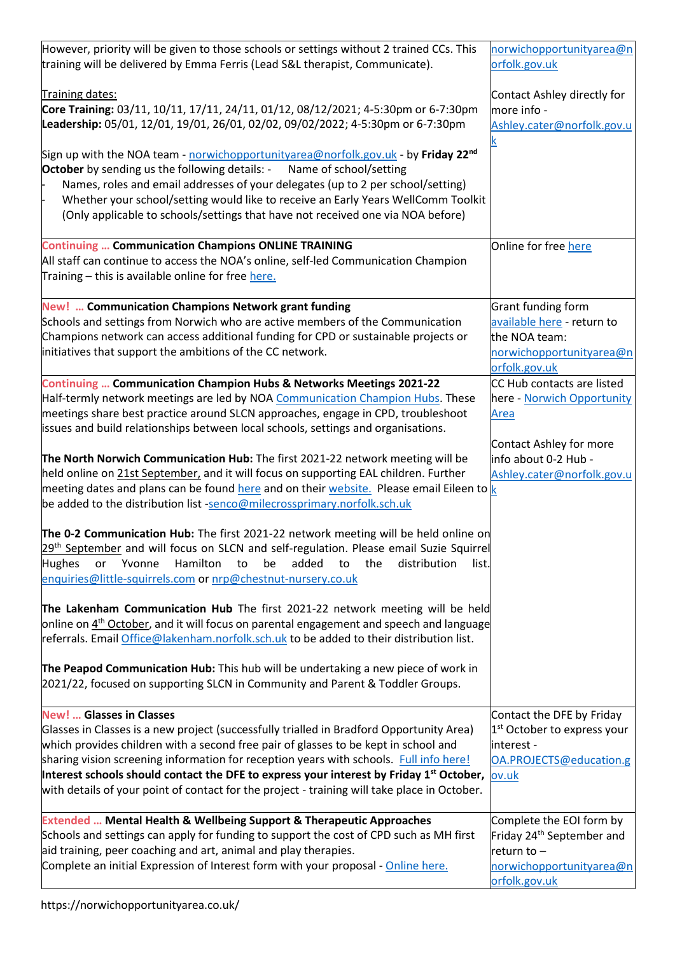| However, priority will be given to those schools or settings without 2 trained CCs. This             | norwichopportunityarea@n                |
|------------------------------------------------------------------------------------------------------|-----------------------------------------|
| training will be delivered by Emma Ferris (Lead S&L therapist, Communicate).                         | orfolk.gov.uk                           |
|                                                                                                      |                                         |
| Training dates:                                                                                      | Contact Ashley directly for             |
| Core Training: 03/11, 10/11, 17/11, 24/11, 01/12, 08/12/2021; 4-5:30pm or 6-7:30pm                   | lmore info -                            |
| Leadership: 05/01, 12/01, 19/01, 26/01, 02/02, 09/02/2022; 4-5:30pm or 6-7:30pm                      | Ashley.cater@norfolk.gov.u              |
|                                                                                                      |                                         |
| Sign up with the NOA team - norwichopportunityarea@norfolk.gov.uk - by Friday 22 <sup>nd</sup>       |                                         |
| October by sending us the following details: -<br>Name of school/setting                             |                                         |
| Names, roles and email addresses of your delegates (up to 2 per school/setting)                      |                                         |
| Whether your school/setting would like to receive an Early Years WellComm Toolkit                    |                                         |
| (Only applicable to schools/settings that have not received one via NOA before)                      |                                         |
|                                                                                                      |                                         |
| <b>Continuing  Communication Champions ONLINE TRAINING</b>                                           | Online for free here                    |
| All staff can continue to access the NOA's online, self-led Communication Champion                   |                                         |
| Training - this is available online for free here.                                                   |                                         |
|                                                                                                      |                                         |
| <b>New!  Communication Champions Network grant funding</b>                                           | Grant funding form                      |
| Schools and settings from Norwich who are active members of the Communication                        | available here - return to              |
| Champions network can access additional funding for CPD or sustainable projects or                   | the NOA team:                           |
| initiatives that support the ambitions of the CC network.                                            | norwichopportunityarea@n                |
|                                                                                                      | orfolk.gov.uk                           |
| <b>Continuing  Communication Champion Hubs &amp; Networks Meetings 2021-22</b>                       | CC Hub contacts are listed              |
| Half-termly network meetings are led by NOA Communication Champion Hubs. These                       | here - Norwich Opportunity              |
| meetings share best practice around SLCN approaches, engage in CPD, troubleshoot                     | Area                                    |
| issues and build relationships between local schools, settings and organisations.                    |                                         |
|                                                                                                      | Contact Ashley for more                 |
| The North Norwich Communication Hub: The first 2021-22 network meeting will be                       | info about 0-2 Hub -                    |
| held online on 21st September, and it will focus on supporting EAL children. Further                 | Ashley.cater@norfolk.gov.u              |
| meeting dates and plans can be found here and on their website. Please email Eileen to k             |                                         |
| be added to the distribution list -senco@milecrossprimary.norfolk.sch.uk                             |                                         |
|                                                                                                      |                                         |
| The 0-2 Communication Hub: The first 2021-22 network meeting will be held online on                  |                                         |
| 29 <sup>th</sup> September and will focus on SLCN and self-regulation. Please email Suzie Squirrel   |                                         |
| added<br>Hamilton<br>distribution<br><b>Hughes</b><br>Yvonne<br>to<br>be<br>to<br>the<br>list.<br>or |                                         |
| enquiries@little-squirrels.com or nrp@chestnut-nursery.co.uk                                         |                                         |
|                                                                                                      |                                         |
| The Lakenham Communication Hub The first 2021-22 network meeting will be held                        |                                         |
| online on 4 <sup>th</sup> October, and it will focus on parental engagement and speech and language  |                                         |
| referrals. Email <i>Office@lakenham.norfolk.sch.uk</i> to be added to their distribution list.       |                                         |
|                                                                                                      |                                         |
| The Peapod Communication Hub: This hub will be undertaking a new piece of work in                    |                                         |
| 2021/22, focused on supporting SLCN in Community and Parent & Toddler Groups.                        |                                         |
|                                                                                                      |                                         |
| <b>New!  Glasses in Classes</b>                                                                      | Contact the DFE by Friday               |
| Glasses in Classes is a new project (successfully trialled in Bradford Opportunity Area)             | 1 <sup>st</sup> October to express your |
| which provides children with a second free pair of glasses to be kept in school and                  | interest -                              |
| sharing vision screening information for reception years with schools. Full info here!               | OA.PROJECTS@education.g                 |
| Interest schools should contact the DFE to express your interest by Friday 1st October,              | ov.uk                                   |
| with details of your point of contact for the project - training will take place in October.         |                                         |
|                                                                                                      |                                         |
| <b>Extended  Mental Health &amp; Wellbeing Support &amp; Therapeutic Approaches</b>                  | Complete the EOI form by                |
| Schools and settings can apply for funding to support the cost of CPD such as MH first               | Friday 24 <sup>th</sup> September and   |
| aid training, peer coaching and art, animal and play therapies.                                      | return to -                             |
| Complete an initial Expression of Interest form with your proposal - Online here.                    | norwichopportunityarea@n                |
|                                                                                                      | orfolk.gov.uk                           |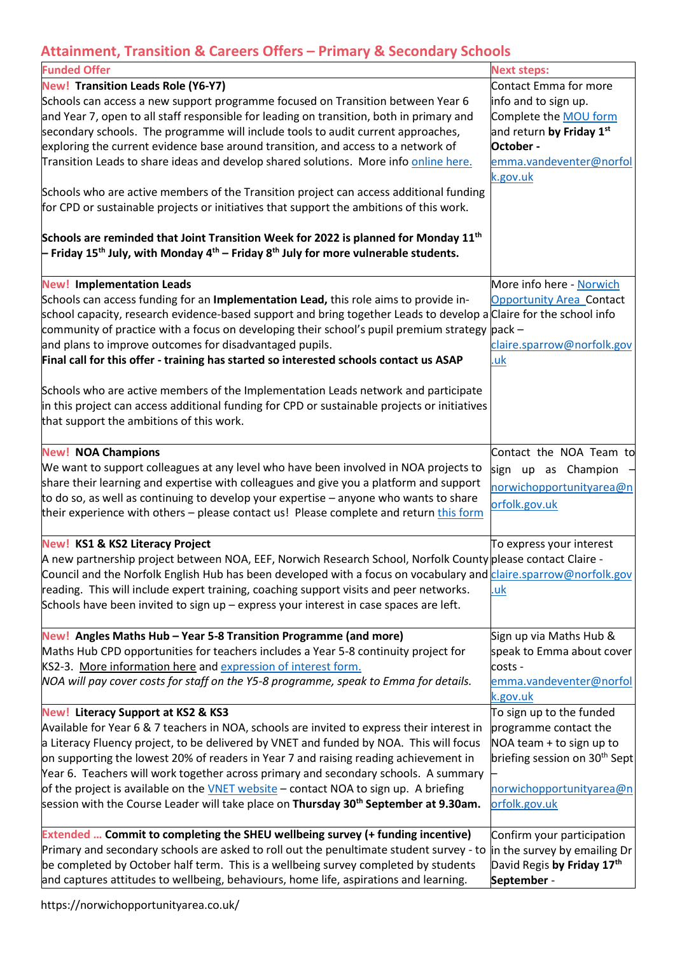# **Attainment, Transition & Careers Offers – Primary & Secondary Schools**

| <b>Funded Offer</b>                                                                                                     | <b>Next steps:</b>                        |
|-------------------------------------------------------------------------------------------------------------------------|-------------------------------------------|
| <b>New! Transition Leads Role (Y6-Y7)</b>                                                                               | <b>Contact Emma for more</b>              |
| Schools can access a new support programme focused on Transition between Year 6                                         | info and to sign up.                      |
| and Year 7, open to all staff responsible for leading on transition, both in primary and                                | Complete the MOU form                     |
| secondary schools. The programme will include tools to audit current approaches,                                        | and return by Friday 1st                  |
| exploring the current evidence base around transition, and access to a network of                                       | October -                                 |
| Transition Leads to share ideas and develop shared solutions. More info online here.                                    | emma.vandeventer@norfol                   |
|                                                                                                                         | k.gov.uk                                  |
| Schools who are active members of the Transition project can access additional funding                                  |                                           |
| for CPD or sustainable projects or initiatives that support the ambitions of this work.                                 |                                           |
| Schools are reminded that Joint Transition Week for 2022 is planned for Monday 11 <sup>th</sup>                         |                                           |
| - Friday 15 <sup>th</sup> July, with Monday 4 <sup>th</sup> – Friday 8 <sup>th</sup> July for more vulnerable students. |                                           |
| <b>New! Implementation Leads</b>                                                                                        | More info here - Norwich                  |
| Schools can access funding for an Implementation Lead, this role aims to provide in-                                    | <b>Opportunity Area Contact</b>           |
| school capacity, research evidence-based support and bring together Leads to develop a Claire for the school info       |                                           |
| community of practice with a focus on developing their school's pupil premium strategy  pack –                          |                                           |
| and plans to improve outcomes for disadvantaged pupils.                                                                 | claire.sparrow@norfolk.gov                |
| Final call for this offer - training has started so interested schools contact us ASAP                                  | .uk                                       |
|                                                                                                                         |                                           |
| Schools who are active members of the Implementation Leads network and participate                                      |                                           |
| in this project can access additional funding for CPD or sustainable projects or initiatives                            |                                           |
| that support the ambitions of this work.                                                                                |                                           |
|                                                                                                                         |                                           |
| <b>New! NOA Champions</b>                                                                                               | Contact the NOA Team to                   |
| We want to support colleagues at any level who have been involved in NOA projects to                                    | sign up as Champion $-$                   |
| share their learning and expertise with colleagues and give you a platform and support                                  | norwichopportunityarea@n                  |
| to do so, as well as continuing to develop your expertise $-$ anyone who wants to share                                 |                                           |
| their experience with others – please contact us! Please complete and return this form                                  | orfolk.gov.uk                             |
|                                                                                                                         |                                           |
| <b>New! KS1 &amp; KS2 Literacy Project</b>                                                                              | To express your interest                  |
| A new partnership project between NOA, EEF, Norwich Research School, Norfolk County please contact Claire -             |                                           |
| Council and the Norfolk English Hub has been developed with a focus on vocabulary and claire.sparrow@norfolk.gov        |                                           |
| reading. This will include expert training, coaching support visits and peer networks.                                  | .uk                                       |
| Schools have been invited to sign up - express your interest in case spaces are left.                                   |                                           |
| New! Angles Maths Hub - Year 5-8 Transition Programme (and more)                                                        | Sign up via Maths Hub &                   |
| Maths Hub CPD opportunities for teachers includes a Year 5-8 continuity project for                                     | speak to Emma about cover                 |
| KS2-3. More information here and expression of interest form.                                                           | costs -                                   |
| NOA will pay cover costs for staff on the Y5-8 programme, speak to Emma for details.                                    | emma.vandeventer@norfol                   |
|                                                                                                                         | k.gov.uk                                  |
| <b>New! Literacy Support at KS2 &amp; KS3</b>                                                                           | To sign up to the funded                  |
| Available for Year 6 & 7 teachers in NOA, schools are invited to express their interest in                              | programme contact the                     |
| a Literacy Fluency project, to be delivered by VNET and funded by NOA. This will focus                                  | NOA team + to sign up to                  |
| on supporting the lowest 20% of readers in Year 7 and raising reading achievement in                                    | briefing session on 30 <sup>th</sup> Sept |
| Year 6. Teachers will work together across primary and secondary schools. A summary                                     |                                           |
| of the project is available on the <b>VNET</b> website - contact NOA to sign up. A briefing                             | norwichopportunityarea@n                  |
| session with the Course Leader will take place on Thursday 30 <sup>th</sup> September at 9.30am.                        | orfolk.gov.uk                             |
|                                                                                                                         |                                           |
| Extended  Commit to completing the SHEU wellbeing survey (+ funding incentive)                                          | Confirm your participation                |
| Primary and secondary schools are asked to roll out the penultimate student survey - to                                 | in the survey by emailing Dr              |
| be completed by October half term. This is a wellbeing survey completed by students                                     | David Regis by Friday 17th                |
| and captures attitudes to wellbeing, behaviours, home life, aspirations and learning.                                   | September -                               |

https://norwichopportunityarea.co.uk/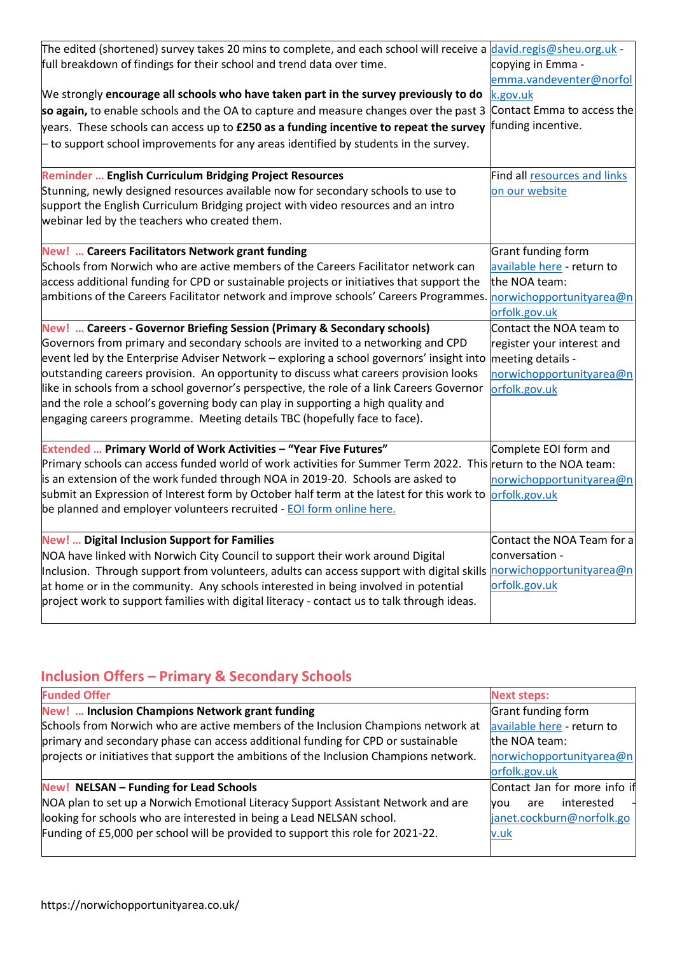| The edited (shortened) survey takes 20 mins to complete, and each school will receive a david.regis@sheu.org.uk -     |                              |
|-----------------------------------------------------------------------------------------------------------------------|------------------------------|
| full breakdown of findings for their school and trend data over time.                                                 | copying in Emma -            |
|                                                                                                                       | emma.vandeventer@norfol      |
| We strongly encourage all schools who have taken part in the survey previously to do                                  | k.gov.uk                     |
| so again, to enable schools and the OA to capture and measure changes over the past 3                                 | Contact Emma to access the   |
| $\gamma$ ears. These schools can access up to £250 as a funding incentive to repeat the survey                        | funding incentive.           |
| to support school improvements for any areas identified by students in the survey.                                    |                              |
| Reminder  English Curriculum Bridging Project Resources                                                               | Find all resources and links |
| Stunning, newly designed resources available now for secondary schools to use to                                      | on our website               |
| support the English Curriculum Bridging project with video resources and an intro                                     |                              |
| webinar led by the teachers who created them.                                                                         |                              |
|                                                                                                                       |                              |
| New!  Careers Facilitators Network grant funding                                                                      | Grant funding form           |
| Schools from Norwich who are active members of the Careers Facilitator network can                                    | available here - return to   |
| access additional funding for CPD or sustainable projects or initiatives that support the                             | the NOA team:                |
| ambitions of the Careers Facilitator network and improve schools' Careers Programmes. <b>norwichopportunityarea@n</b> |                              |
|                                                                                                                       | orfolk.gov.uk                |
| New!  Careers - Governor Briefing Session (Primary & Secondary schools)                                               | Contact the NOA team to      |
| Governors from primary and secondary schools are invited to a networking and CPD                                      | register your interest and   |
| event led by the Enterprise Adviser Network – exploring a school governors' insight into                              | meeting details -            |
| outstanding careers provision. An opportunity to discuss what careers provision looks                                 | norwichopportunityarea@n     |
| like in schools from a school governor's perspective, the role of a link Careers Governor                             | orfolk.gov.uk                |
| and the role a school's governing body can play in supporting a high quality and                                      |                              |
| engaging careers programme. Meeting details TBC (hopefully face to face).                                             |                              |
| Extended  Primary World of Work Activities - "Year Five Futures"                                                      | Complete EOI form and        |
| Primary schools can access funded world of work activities for Summer Term 2022. This return to the NOA team:         |                              |
| is an extension of the work funded through NOA in 2019-20. Schools are asked to                                       | norwichopportunityarea@n     |
| submit an Expression of Interest form by October half term at the latest for this work to                             | orfolk.gov.uk                |
| be planned and employer volunteers recruited - EOI form online here.                                                  |                              |
|                                                                                                                       |                              |
| <b>New!</b> Digital Inclusion Support for Families                                                                    | Contact the NOA Team for a   |
| NOA have linked with Norwich City Council to support their work around Digital                                        | conversation -               |
| Inclusion. Through support from volunteers, adults can access support with digital skills                             | norwichopportunityarea@n     |
| at home or in the community. Any schools interested in being involved in potential                                    | orfolk.gov.uk                |
| project work to support families with digital literacy - contact us to talk through ideas.                            |                              |
|                                                                                                                       |                              |

# **Inclusion Offers – Primary & Secondary Schools**

| <b>Funded Offer</b>                                                                    | <b>Next steps:</b>           |
|----------------------------------------------------------------------------------------|------------------------------|
| New!  Inclusion Champions Network grant funding                                        | Grant funding form           |
| Schools from Norwich who are active members of the Inclusion Champions network at      | available here - return to   |
| primary and secondary phase can access additional funding for CPD or sustainable       | the NOA team:                |
| projects or initiatives that support the ambitions of the Inclusion Champions network. | norwichopportunityarea@n     |
|                                                                                        | orfolk.gov.uk                |
| <b>New! NELSAN - Funding for Lead Schools</b>                                          | Contact Jan for more info if |
| NOA plan to set up a Norwich Emotional Literacy Support Assistant Network and are      | interested<br>are<br>vou     |
| looking for schools who are interested in being a Lead NELSAN school.                  | janet.cockburn@norfolk.go    |
| Funding of £5,000 per school will be provided to support this role for 2021-22.        | v.uk                         |
|                                                                                        |                              |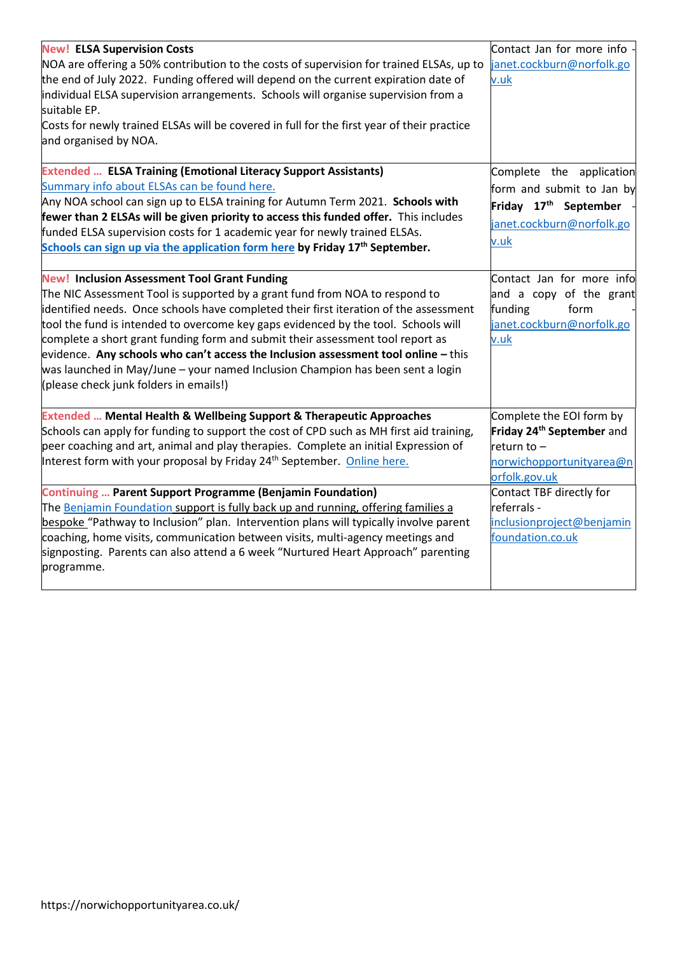| <b>New! ELSA Supervision Costs</b>                                                         | Contact Jan for more info             |
|--------------------------------------------------------------------------------------------|---------------------------------------|
| NOA are offering a 50% contribution to the costs of supervision for trained ELSAs, up to   | janet.cockburn@norfolk.go             |
| the end of July 2022. Funding offered will depend on the current expiration date of        | v.uk                                  |
| individual ELSA supervision arrangements. Schools will organise supervision from a         |                                       |
| suitable EP.                                                                               |                                       |
| Costs for newly trained ELSAs will be covered in full for the first year of their practice |                                       |
| and organised by NOA.                                                                      |                                       |
|                                                                                            |                                       |
| <b>Extended  ELSA Training (Emotional Literacy Support Assistants)</b>                     | Complete the application              |
| Summary info about ELSAs can be found here.                                                | form and submit to Jan by             |
| Any NOA school can sign up to ELSA training for Autumn Term 2021. Schools with             | Friday 17 <sup>th</sup> September     |
| fewer than 2 ELSAs will be given priority to access this funded offer. This includes       | janet.cockburn@norfolk.go             |
| funded ELSA supervision costs for 1 academic year for newly trained ELSAs.                 | v.uk                                  |
| Schools can sign up via the application form here by Friday 17 <sup>th</sup> September.    |                                       |
| <b>New! Inclusion Assessment Tool Grant Funding</b>                                        | Contact Jan for more info             |
| The NIC Assessment Tool is supported by a grant fund from NOA to respond to                | and a copy of the grant               |
| identified needs. Once schools have completed their first iteration of the assessment      | form<br>funding                       |
| tool the fund is intended to overcome key gaps evidenced by the tool. Schools will         | janet.cockburn@norfolk.go             |
| complete a short grant funding form and submit their assessment tool report as             | v.uk                                  |
| evidence. Any schools who can't access the Inclusion assessment tool online - this         |                                       |
| was launched in May/June – your named Inclusion Champion has been sent a login             |                                       |
| (please check junk folders in emails!)                                                     |                                       |
| <b>Extended  Mental Health &amp; Wellbeing Support &amp; Therapeutic Approaches</b>        | Complete the EOI form by              |
| Schools can apply for funding to support the cost of CPD such as MH first aid training,    | Friday 24 <sup>th</sup> September and |
| peer coaching and art, animal and play therapies. Complete an initial Expression of        | return to $-$                         |
| Interest form with your proposal by Friday 24 <sup>th</sup> September. Online here.        | norwichopportunityarea@n              |
|                                                                                            | orfolk.gov.uk                         |
| <b>Continuing  Parent Support Programme (Benjamin Foundation)</b>                          | Contact TBF directly for              |
| The Benjamin Foundation support is fully back up and running, offering families a          | referrals -                           |
| bespoke "Pathway to Inclusion" plan. Intervention plans will typically involve parent      | inclusionproject@benjamin             |
| coaching, home visits, communication between visits, multi-agency meetings and             | foundation.co.uk                      |
| signposting. Parents can also attend a 6 week "Nurtured Heart Approach" parenting          |                                       |
| programme.                                                                                 |                                       |
|                                                                                            |                                       |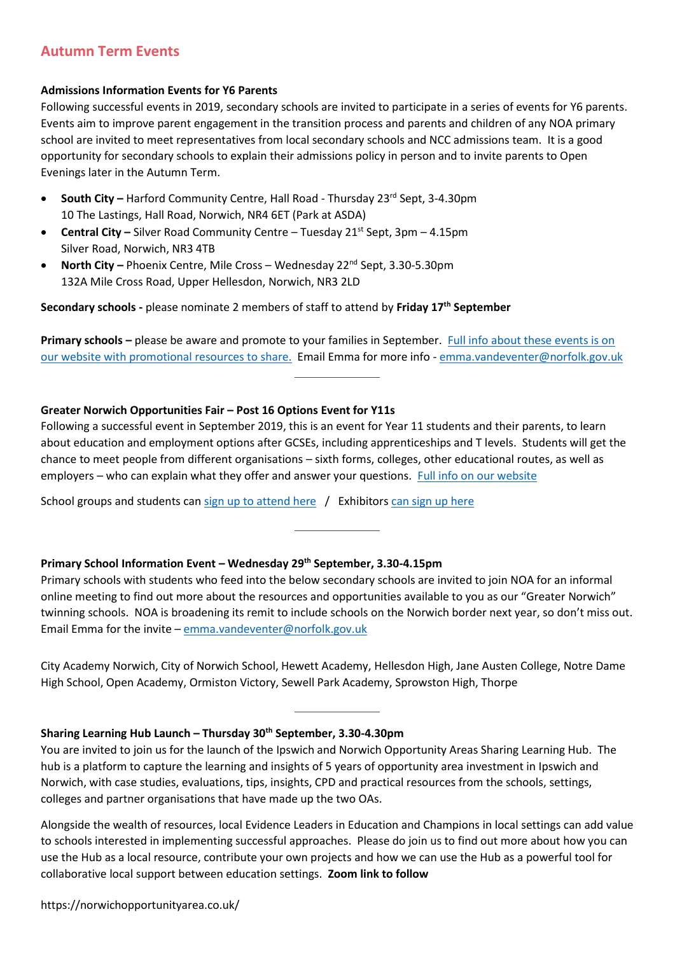# **Autumn Term Events**

#### **Admissions Information Events for Y6 Parents**

Following successful events in 2019, secondary schools are invited to participate in a series of events for Y6 parents. Events aim to improve parent engagement in the transition process and parents and children of any NOA primary school are invited to meet representatives from local secondary schools and NCC admissions team. It is a good opportunity for secondary schools to explain their admissions policy in person and to invite parents to Open Evenings later in the Autumn Term.

- **South City –** Harford Community Centre, Hall Road Thursday 23rd Sept, 3-4.30pm 10 The Lastings, Hall Road, Norwich, NR4 6ET (Park at ASDA)
- **Central City –** Silver Road Community Centre Tuesday 21<sup>st</sup> Sept, 3pm 4.15pm Silver Road, Norwich, NR3 4TB
- **North City –** Phoenix Centre, Mile Cross Wednesday 22nd Sept, 3.30-5.30pm 132A Mile Cross Road, Upper Hellesdon, Norwich, NR3 2LD

**Secondary schools -** please nominate 2 members of staff to attend by **Friday 17th September** 

**Primary schools –** please be aware and promote to your families in September. Full info about these events is on [our website with promotional resources to share.](https://norwichopportunityarea.co.uk/events/) Email Emma for more info - [emma.vandeventer@norfolk.gov.uk](mailto:emma.vandeventer@norfolk.gov.uk)

#### **Greater Norwich Opportunities Fair – Post 16 Options Event for Y11s**

Following a successful event in September 2019, this is an event for Year 11 students and their parents, to learn about education and employment options after GCSEs, including apprenticeships and T levels. Students will get the chance to meet people from different organisations – sixth forms, colleges, other educational routes, as well as employers – who can explain what they offer and answer your questions. [Full info on our website](https://norwichopportunityarea.co.uk/events/)

School groups and students can [sign up to attend here](https://www.eventbrite.co.uk/e/greater-norwich-opportunities-fair-2021-students-and-families-tickets-163032712231)  $\,$  / Exhibitors [can sign up](https://www.eventbrite.co.uk/e/greater-norwich-opportunities-fair-2021-exhibitors-tickets-163056431175) here

## **Primary School Information Event – Wednesday 29th September, 3.30-4.15pm**

Primary schools with students who feed into the below secondary schools are invited to join NOA for an informal online meeting to find out more about the resources and opportunities available to you as our "Greater Norwich" twinning schools. NOA is broadening its remit to include schools on the Norwich border next year, so don't miss out. Email Emma for the invite – [emma.vandeventer@norfolk.gov.uk](mailto:emma.vandeventer@norfolk.gov.uk)

City Academy Norwich, City of Norwich School, Hewett Academy, Hellesdon High, Jane Austen College, Notre Dame High School, Open Academy, Ormiston Victory, Sewell Park Academy, Sprowston High, Thorpe

## **Sharing Learning Hub Launch – Thursday 30th September, 3.30-4.30pm**

You are invited to join us for the launch of the Ipswich and Norwich Opportunity Areas Sharing Learning Hub. The hub is a platform to capture the learning and insights of 5 years of opportunity area investment in Ipswich and Norwich, with case studies, evaluations, tips, insights, CPD and practical resources from the schools, settings, colleges and partner organisations that have made up the two OAs.

Alongside the wealth of resources, local Evidence Leaders in Education and Champions in local settings can add value to schools interested in implementing successful approaches. Please do join us to find out more about how you can use the Hub as a local resource, contribute your own projects and how we can use the Hub as a powerful tool for collaborative local support between education settings. **Zoom link to follow**

https://norwichopportunityarea.co.uk/